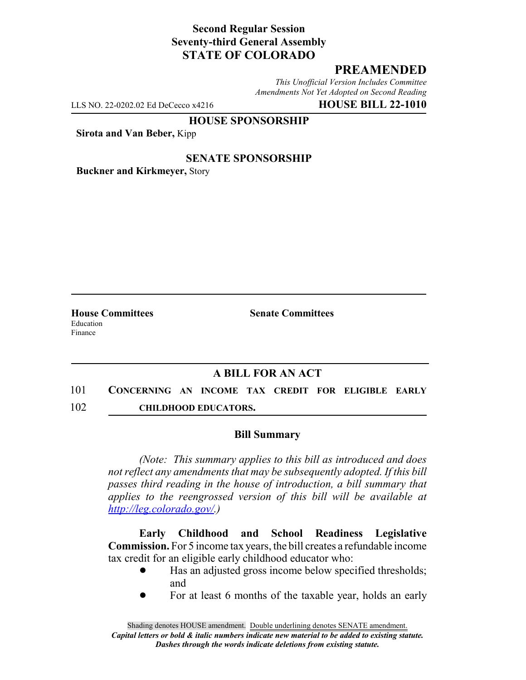## **Second Regular Session Seventy-third General Assembly STATE OF COLORADO**

# **PREAMENDED**

*This Unofficial Version Includes Committee Amendments Not Yet Adopted on Second Reading*

LLS NO. 22-0202.02 Ed DeCecco x4216 **HOUSE BILL 22-1010**

**HOUSE SPONSORSHIP**

**Sirota and Van Beber,** Kipp

#### **SENATE SPONSORSHIP**

**Buckner and Kirkmeyer,** Story

Education Finance

**House Committees Senate Committees**

## **A BILL FOR AN ACT**

101 **CONCERNING AN INCOME TAX CREDIT FOR ELIGIBLE EARLY** 102 **CHILDHOOD EDUCATORS.**

### **Bill Summary**

*(Note: This summary applies to this bill as introduced and does not reflect any amendments that may be subsequently adopted. If this bill passes third reading in the house of introduction, a bill summary that applies to the reengrossed version of this bill will be available at http://leg.colorado.gov/.)*

**Early Childhood and School Readiness Legislative Commission.** For 5 income tax years, the bill creates a refundable income tax credit for an eligible early childhood educator who:

- ! Has an adjusted gross income below specified thresholds; and
- ! For at least 6 months of the taxable year, holds an early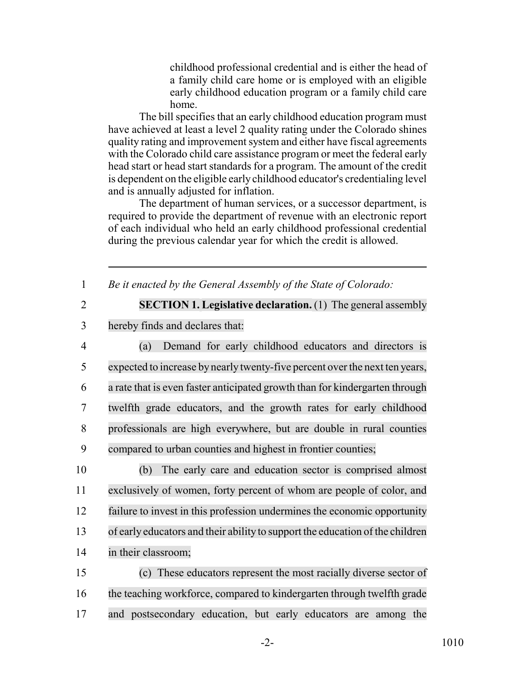childhood professional credential and is either the head of a family child care home or is employed with an eligible early childhood education program or a family child care home.

The bill specifies that an early childhood education program must have achieved at least a level 2 quality rating under the Colorado shines quality rating and improvement system and either have fiscal agreements with the Colorado child care assistance program or meet the federal early head start or head start standards for a program. The amount of the credit is dependent on the eligible early childhood educator's credentialing level and is annually adjusted for inflation.

The department of human services, or a successor department, is required to provide the department of revenue with an electronic report of each individual who held an early childhood professional credential during the previous calendar year for which the credit is allowed.

1 *Be it enacted by the General Assembly of the State of Colorado:*

2 **SECTION 1. Legislative declaration.** (1) The general assembly

3 hereby finds and declares that:

 (a) Demand for early childhood educators and directors is 5 expected to increase by nearly twenty-five percent over the next ten years, a rate that is even faster anticipated growth than for kindergarten through twelfth grade educators, and the growth rates for early childhood professionals are high everywhere, but are double in rural counties compared to urban counties and highest in frontier counties;

 (b) The early care and education sector is comprised almost exclusively of women, forty percent of whom are people of color, and failure to invest in this profession undermines the economic opportunity of early educators and their ability to support the education of the children in their classroom;

15 (c) These educators represent the most racially diverse sector of 16 the teaching workforce, compared to kindergarten through twelfth grade 17 and postsecondary education, but early educators are among the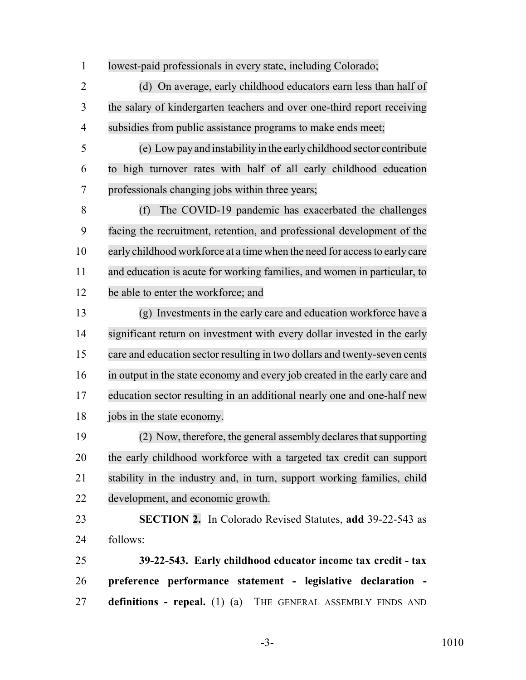lowest-paid professionals in every state, including Colorado;

 (d) On average, early childhood educators earn less than half of the salary of kindergarten teachers and over one-third report receiving subsidies from public assistance programs to make ends meet;

 (e) Low pay and instability in the early childhood sector contribute to high turnover rates with half of all early childhood education professionals changing jobs within three years;

 (f) The COVID-19 pandemic has exacerbated the challenges facing the recruitment, retention, and professional development of the early childhood workforce at a time when the need for accessto early care and education is acute for working families, and women in particular, to be able to enter the workforce; and

 (g) Investments in the early care and education workforce have a 14 significant return on investment with every dollar invested in the early care and education sector resulting in two dollars and twenty-seven cents in output in the state economy and every job created in the early care and education sector resulting in an additional nearly one and one-half new jobs in the state economy.

 (2) Now, therefore, the general assembly declares that supporting the early childhood workforce with a targeted tax credit can support stability in the industry and, in turn, support working families, child development, and economic growth.

 **SECTION 2.** In Colorado Revised Statutes, **add** 39-22-543 as follows:

 **39-22-543. Early childhood educator income tax credit - tax preference performance statement - legislative declaration - definitions - repeal.** (1) (a) THE GENERAL ASSEMBLY FINDS AND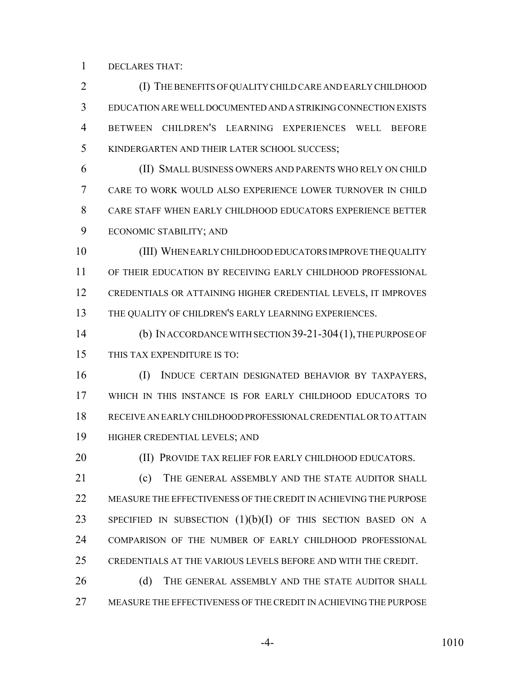DECLARES THAT:

 (I) THE BENEFITS OF QUALITY CHILD CARE AND EARLY CHILDHOOD EDUCATION ARE WELL DOCUMENTED AND A STRIKING CONNECTION EXISTS BETWEEN CHILDREN'S LEARNING EXPERIENCES WELL BEFORE KINDERGARTEN AND THEIR LATER SCHOOL SUCCESS;

 (II) SMALL BUSINESS OWNERS AND PARENTS WHO RELY ON CHILD CARE TO WORK WOULD ALSO EXPERIENCE LOWER TURNOVER IN CHILD CARE STAFF WHEN EARLY CHILDHOOD EDUCATORS EXPERIENCE BETTER ECONOMIC STABILITY; AND

 (III) WHEN EARLY CHILDHOOD EDUCATORS IMPROVE THE QUALITY OF THEIR EDUCATION BY RECEIVING EARLY CHILDHOOD PROFESSIONAL CREDENTIALS OR ATTAINING HIGHER CREDENTIAL LEVELS, IT IMPROVES 13 THE QUALITY OF CHILDREN'S EARLY LEARNING EXPERIENCES.

 (b) IN ACCORDANCE WITH SECTION 39-21-304(1), THE PURPOSE OF THIS TAX EXPENDITURE IS TO:

 (I) INDUCE CERTAIN DESIGNATED BEHAVIOR BY TAXPAYERS, WHICH IN THIS INSTANCE IS FOR EARLY CHILDHOOD EDUCATORS TO RECEIVE AN EARLY CHILDHOOD PROFESSIONAL CREDENTIAL OR TO ATTAIN HIGHER CREDENTIAL LEVELS; AND

**(II) PROVIDE TAX RELIEF FOR EARLY CHILDHOOD EDUCATORS.** 

21 (c) THE GENERAL ASSEMBLY AND THE STATE AUDITOR SHALL MEASURE THE EFFECTIVENESS OF THE CREDIT IN ACHIEVING THE PURPOSE 23 SPECIFIED IN SUBSECTION  $(1)(b)(I)$  of this section based on a COMPARISON OF THE NUMBER OF EARLY CHILDHOOD PROFESSIONAL CREDENTIALS AT THE VARIOUS LEVELS BEFORE AND WITH THE CREDIT.

26 (d) THE GENERAL ASSEMBLY AND THE STATE AUDITOR SHALL MEASURE THE EFFECTIVENESS OF THE CREDIT IN ACHIEVING THE PURPOSE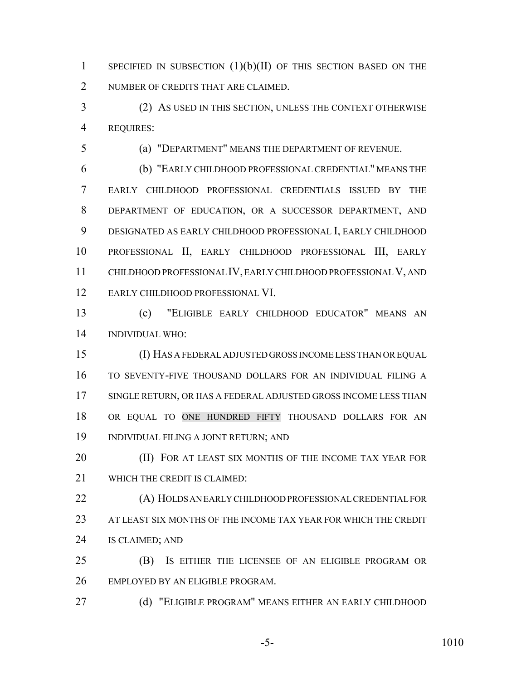1 SPECIFIED IN SUBSECTION  $(1)(b)(II)$  of this section based on the 2 NUMBER OF CREDITS THAT ARE CLAIMED.

 (2) AS USED IN THIS SECTION, UNLESS THE CONTEXT OTHERWISE REQUIRES:

(a) "DEPARTMENT" MEANS THE DEPARTMENT OF REVENUE.

 (b) "EARLY CHILDHOOD PROFESSIONAL CREDENTIAL" MEANS THE EARLY CHILDHOOD PROFESSIONAL CREDENTIALS ISSUED BY THE DEPARTMENT OF EDUCATION, OR A SUCCESSOR DEPARTMENT, AND DESIGNATED AS EARLY CHILDHOOD PROFESSIONAL I, EARLY CHILDHOOD PROFESSIONAL II, EARLY CHILDHOOD PROFESSIONAL III, EARLY CHILDHOOD PROFESSIONAL IV, EARLY CHILDHOOD PROFESSIONAL V, AND EARLY CHILDHOOD PROFESSIONAL VI.

 (c) "ELIGIBLE EARLY CHILDHOOD EDUCATOR" MEANS AN INDIVIDUAL WHO:

 (I) HAS A FEDERAL ADJUSTED GROSS INCOME LESS THAN OR EQUAL TO SEVENTY-FIVE THOUSAND DOLLARS FOR AN INDIVIDUAL FILING A SINGLE RETURN, OR HAS A FEDERAL ADJUSTED GROSS INCOME LESS THAN OR EQUAL TO ONE HUNDRED FIFTY THOUSAND DOLLARS FOR AN INDIVIDUAL FILING A JOINT RETURN; AND

**(II) FOR AT LEAST SIX MONTHS OF THE INCOME TAX YEAR FOR** WHICH THE CREDIT IS CLAIMED:

 (A) HOLDS AN EARLY CHILDHOOD PROFESSIONAL CREDENTIAL FOR AT LEAST SIX MONTHS OF THE INCOME TAX YEAR FOR WHICH THE CREDIT IS CLAIMED; AND

 (B) IS EITHER THE LICENSEE OF AN ELIGIBLE PROGRAM OR EMPLOYED BY AN ELIGIBLE PROGRAM.

(d) "ELIGIBLE PROGRAM" MEANS EITHER AN EARLY CHILDHOOD

-5- 1010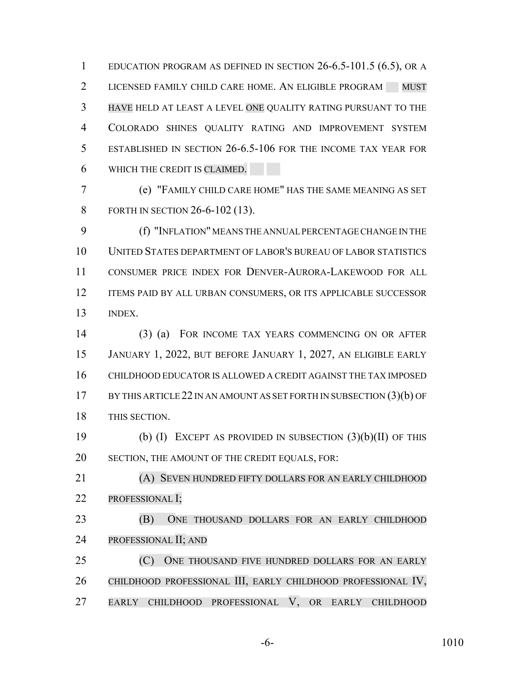EDUCATION PROGRAM AS DEFINED IN SECTION 26-6.5-101.5 (6.5), OR A 2 LICENSED FAMILY CHILD CARE HOME. AN ELIGIBLE PROGRAM MUST HAVE HELD AT LEAST A LEVEL ONE QUALITY RATING PURSUANT TO THE COLORADO SHINES QUALITY RATING AND IMPROVEMENT SYSTEM ESTABLISHED IN SECTION 26-6.5-106 FOR THE INCOME TAX YEAR FOR WHICH THE CREDIT IS CLAIMED.

 (e) "FAMILY CHILD CARE HOME" HAS THE SAME MEANING AS SET FORTH IN SECTION 26-6-102 (13).

 (f) "INFLATION" MEANS THE ANNUAL PERCENTAGE CHANGE IN THE UNITED STATES DEPARTMENT OF LABOR'S BUREAU OF LABOR STATISTICS CONSUMER PRICE INDEX FOR DENVER-AURORA-LAKEWOOD FOR ALL 12 ITEMS PAID BY ALL URBAN CONSUMERS, OR ITS APPLICABLE SUCCESSOR INDEX.

 (3) (a) FOR INCOME TAX YEARS COMMENCING ON OR AFTER JANUARY 1, 2022, BUT BEFORE JANUARY 1, 2027, AN ELIGIBLE EARLY CHILDHOOD EDUCATOR IS ALLOWED A CREDIT AGAINST THE TAX IMPOSED 17 BY THIS ARTICLE 22 IN AN AMOUNT AS SET FORTH IN SUBSECTION (3)(b) OF THIS SECTION.

 (b) (I) EXCEPT AS PROVIDED IN SUBSECTION (3)(b)(II) OF THIS SECTION, THE AMOUNT OF THE CREDIT EQUALS, FOR:

 (A) SEVEN HUNDRED FIFTY DOLLARS FOR AN EARLY CHILDHOOD 22 PROFESSIONAL I;

 (B) ONE THOUSAND DOLLARS FOR AN EARLY CHILDHOOD PROFESSIONAL II; AND

 (C) ONE THOUSAND FIVE HUNDRED DOLLARS FOR AN EARLY CHILDHOOD PROFESSIONAL III, EARLY CHILDHOOD PROFESSIONAL IV, EARLY CHILDHOOD PROFESSIONAL V, OR EARLY CHILDHOOD

-6- 1010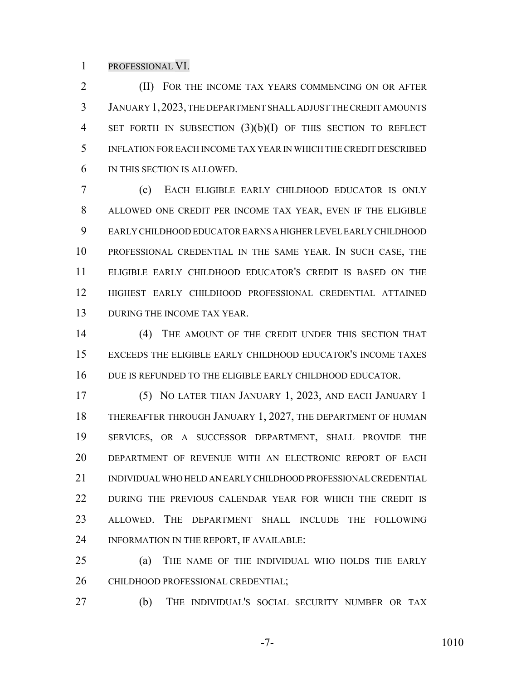#### PROFESSIONAL VI.

**(II)** FOR THE INCOME TAX YEARS COMMENCING ON OR AFTER JANUARY 1,2023, THE DEPARTMENT SHALL ADJUST THE CREDIT AMOUNTS 4 SET FORTH IN SUBSECTION (3)(b)(I) OF THIS SECTION TO REFLECT INFLATION FOR EACH INCOME TAX YEAR IN WHICH THE CREDIT DESCRIBED IN THIS SECTION IS ALLOWED.

 (c) EACH ELIGIBLE EARLY CHILDHOOD EDUCATOR IS ONLY ALLOWED ONE CREDIT PER INCOME TAX YEAR, EVEN IF THE ELIGIBLE EARLY CHILDHOOD EDUCATOR EARNS A HIGHER LEVEL EARLY CHILDHOOD PROFESSIONAL CREDENTIAL IN THE SAME YEAR. IN SUCH CASE, THE ELIGIBLE EARLY CHILDHOOD EDUCATOR'S CREDIT IS BASED ON THE HIGHEST EARLY CHILDHOOD PROFESSIONAL CREDENTIAL ATTAINED 13 DURING THE INCOME TAX YEAR.

14 (4) THE AMOUNT OF THE CREDIT UNDER THIS SECTION THAT EXCEEDS THE ELIGIBLE EARLY CHILDHOOD EDUCATOR'S INCOME TAXES DUE IS REFUNDED TO THE ELIGIBLE EARLY CHILDHOOD EDUCATOR.

 (5) NO LATER THAN JANUARY 1, 2023, AND EACH JANUARY 1 THEREAFTER THROUGH JANUARY 1, 2027, THE DEPARTMENT OF HUMAN SERVICES, OR A SUCCESSOR DEPARTMENT, SHALL PROVIDE THE DEPARTMENT OF REVENUE WITH AN ELECTRONIC REPORT OF EACH INDIVIDUAL WHO HELD AN EARLY CHILDHOOD PROFESSIONAL CREDENTIAL DURING THE PREVIOUS CALENDAR YEAR FOR WHICH THE CREDIT IS ALLOWED. THE DEPARTMENT SHALL INCLUDE THE FOLLOWING INFORMATION IN THE REPORT, IF AVAILABLE:

 (a) THE NAME OF THE INDIVIDUAL WHO HOLDS THE EARLY 26 CHILDHOOD PROFESSIONAL CREDENTIAL;

(b) THE INDIVIDUAL'S SOCIAL SECURITY NUMBER OR TAX

-7- 1010